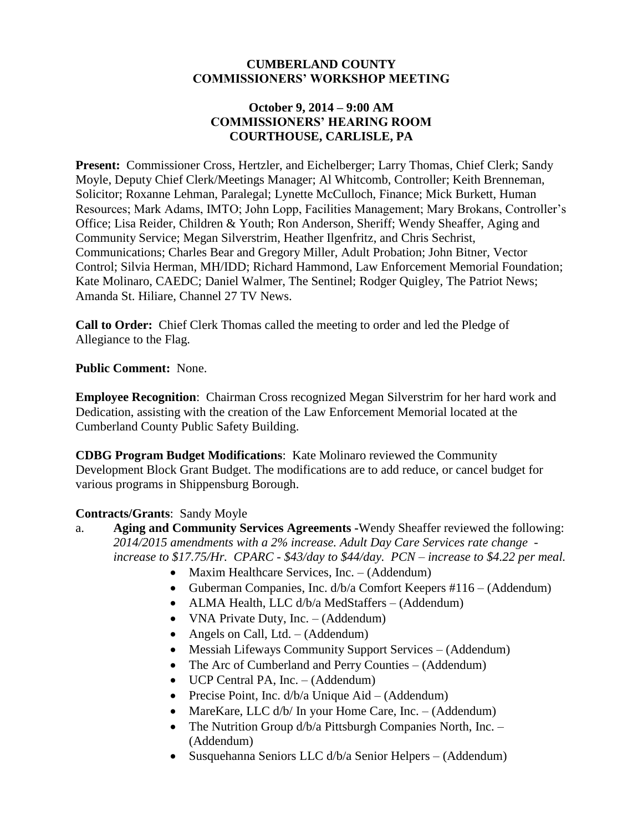#### **CUMBERLAND COUNTY COMMISSIONERS' WORKSHOP MEETING**

### **October 9, 2014 – 9:00 AM COMMISSIONERS' HEARING ROOM COURTHOUSE, CARLISLE, PA**

**Present:** Commissioner Cross, Hertzler, and Eichelberger; Larry Thomas, Chief Clerk; Sandy Moyle, Deputy Chief Clerk/Meetings Manager; Al Whitcomb, Controller; Keith Brenneman, Solicitor; Roxanne Lehman, Paralegal; Lynette McCulloch, Finance; Mick Burkett, Human Resources; Mark Adams, IMTO; John Lopp, Facilities Management; Mary Brokans, Controller's Office; Lisa Reider, Children & Youth; Ron Anderson, Sheriff; Wendy Sheaffer, Aging and Community Service; Megan Silverstrim, Heather Ilgenfritz, and Chris Sechrist, Communications; Charles Bear and Gregory Miller, Adult Probation; John Bitner, Vector Control; Silvia Herman, MH/IDD; Richard Hammond, Law Enforcement Memorial Foundation; Kate Molinaro, CAEDC; Daniel Walmer, The Sentinel; Rodger Quigley, The Patriot News; Amanda St. Hiliare, Channel 27 TV News.

**Call to Order:** Chief Clerk Thomas called the meeting to order and led the Pledge of Allegiance to the Flag.

#### **Public Comment:** None.

**Employee Recognition**: Chairman Cross recognized Megan Silverstrim for her hard work and Dedication, assisting with the creation of the Law Enforcement Memorial located at the Cumberland County Public Safety Building.

**CDBG Program Budget Modifications**: Kate Molinaro reviewed the Community Development Block Grant Budget. The modifications are to add reduce, or cancel budget for various programs in Shippensburg Borough.

### **Contracts/Grants**: Sandy Moyle

- a. **Aging and Community Services Agreements -**Wendy Sheaffer reviewed the following: *2014/2015 amendments with a 2% increase. Adult Day Care Services rate change increase to \$17.75/Hr. CPARC - \$43/day to \$44/day. PCN – increase to \$4.22 per meal.*
	- Maxim Healthcare Services, Inc. (Addendum)
	- Guberman Companies, Inc. d/b/a Comfort Keepers #116 (Addendum)
	- ALMA Health, LLC d/b/a MedStaffers (Addendum)
	- VNA Private Duty, Inc. (Addendum)
	- Angels on Call, Ltd.  $-$  (Addendum)
	- Messiah Lifeways Community Support Services (Addendum)
	- The Arc of Cumberland and Perry Counties (Addendum)
	- UCP Central PA, Inc. (Addendum)
	- Precise Point, Inc.  $d/b/a$  Unique Aid (Addendum)
	- MareKare, LLC d/b/ In your Home Care, Inc. (Addendum)
	- The Nutrition Group  $d/b/a$  Pittsburgh Companies North, Inc. (Addendum)
	- Susquehanna Seniors LLC d/b/a Senior Helpers (Addendum)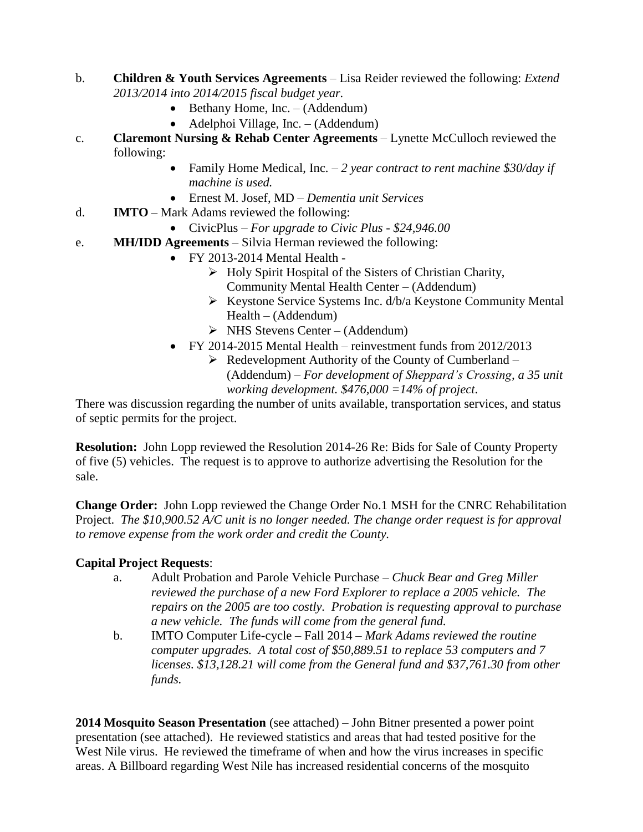- b. **Children & Youth Services Agreements** Lisa Reider reviewed the following: *Extend 2013/2014 into 2014/2015 fiscal budget year.* 
	- $\bullet$  Bethany Home, Inc. (Addendum)
	- Adelphoi Village, Inc. (Addendum)
- c. **Claremont Nursing & Rehab Center Agreements** Lynette McCulloch reviewed the following:
	- Family Home Medical, Inc. *2 year contract to rent machine \$30/day if machine is used.*
	- Ernest M. Josef, MD *Dementia unit Services*
- d. **IMTO** Mark Adams reviewed the following:
	- CivicPlus *For upgrade to Civic Plus - \$24,946.00*
- e. **MH/IDD Agreements** Silvia Herman reviewed the following:
	- FY 2013-2014 Mental Health
		- $\triangleright$  Holy Spirit Hospital of the Sisters of Christian Charity, Community Mental Health Center – (Addendum)
		- $\triangleright$  Keystone Service Systems Inc. d/b/a Keystone Community Mental Health – (Addendum)
		- $\triangleright$  NHS Stevens Center (Addendum)
	- FY 2014-2015 Mental Health reinvestment funds from 2012/2013
		- $\triangleright$  Redevelopment Authority of the County of Cumberland (Addendum) – *For development of Sheppard's Crossing, a 35 unit working development. \$476,000 =14% of project*.

There was discussion regarding the number of units available, transportation services, and status of septic permits for the project.

**Resolution:** John Lopp reviewed the Resolution 2014-26 Re: Bids for Sale of County Property of five (5) vehicles. The request is to approve to authorize advertising the Resolution for the sale.

**Change Order:** John Lopp reviewed the Change Order No.1 MSH for the CNRC Rehabilitation Project. *The \$10,900.52 A/C unit is no longer needed. The change order request is for approval to remove expense from the work order and credit the County.*

### **Capital Project Requests**:

- a. Adult Probation and Parole Vehicle Purchase *Chuck Bear and Greg Miller reviewed the purchase of a new Ford Explorer to replace a 2005 vehicle. The repairs on the 2005 are too costly. Probation is requesting approval to purchase a new vehicle. The funds will come from the general fund.*
- b. IMTO Computer Life-cycle Fall 2014 *Mark Adams reviewed the routine computer upgrades. A total cost of \$50,889.51 to replace 53 computers and 7 licenses. \$13,128.21 will come from the General fund and \$37,761.30 from other funds.*

**2014 Mosquito Season Presentation** (see attached) – John Bitner presented a power point presentation (see attached). He reviewed statistics and areas that had tested positive for the West Nile virus. He reviewed the timeframe of when and how the virus increases in specific areas. A Billboard regarding West Nile has increased residential concerns of the mosquito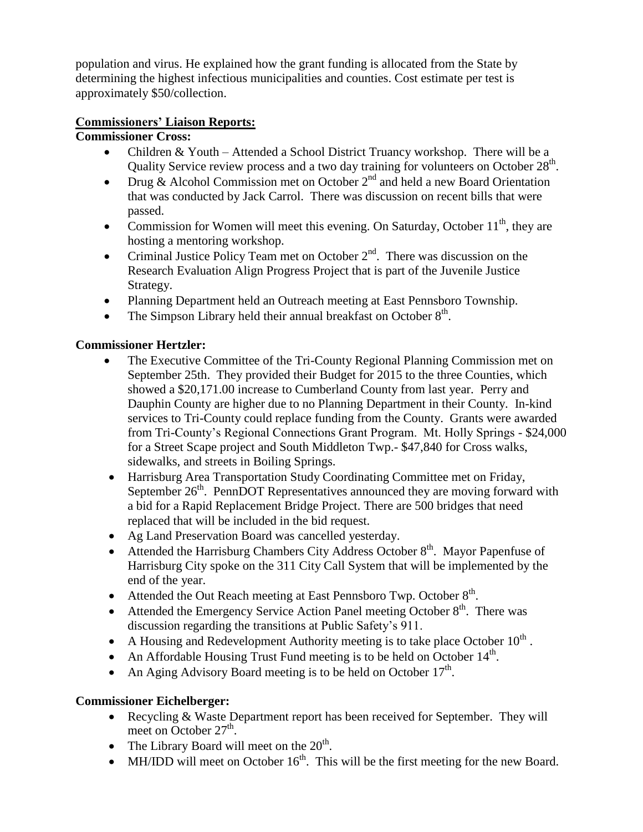population and virus. He explained how the grant funding is allocated from the State by determining the highest infectious municipalities and counties. Cost estimate per test is approximately \$50/collection.

## **Commissioners' Liaison Reports:**

## **Commissioner Cross:**

- Children & Youth Attended a School District Truancy workshop. There will be a Quality Service review process and a two day training for volunteers on October  $28<sup>th</sup>$ .
- Drug & Alcohol Commission met on October  $2<sup>nd</sup>$  and held a new Board Orientation that was conducted by Jack Carrol. There was discussion on recent bills that were passed.
- Commission for Women will meet this evening. On Saturday, October  $11<sup>th</sup>$ , they are hosting a mentoring workshop.
- Criminal Justice Policy Team met on October  $2<sup>nd</sup>$ . There was discussion on the Research Evaluation Align Progress Project that is part of the Juvenile Justice Strategy.
- Planning Department held an Outreach meeting at East Pennsboro Township.
- The Simpson Library held their annual breakfast on October  $8<sup>th</sup>$ .

## **Commissioner Hertzler:**

- The Executive Committee of the Tri-County Regional Planning Commission met on September 25th. They provided their Budget for 2015 to the three Counties, which showed a \$20,171.00 increase to Cumberland County from last year. Perry and Dauphin County are higher due to no Planning Department in their County. In-kind services to Tri-County could replace funding from the County. Grants were awarded from Tri-County's Regional Connections Grant Program. Mt. Holly Springs - \$24,000 for a Street Scape project and South Middleton Twp.- \$47,840 for Cross walks, sidewalks, and streets in Boiling Springs.
- Harrisburg Area Transportation Study Coordinating Committee met on Friday, September 26<sup>th</sup>. PennDOT Representatives announced they are moving forward with a bid for a Rapid Replacement Bridge Project. There are 500 bridges that need replaced that will be included in the bid request.
- Ag Land Preservation Board was cancelled yesterday.
- Attended the Harrisburg Chambers City Address October  $8<sup>th</sup>$ . Mayor Papenfuse of Harrisburg City spoke on the 311 City Call System that will be implemented by the end of the year.
- Attended the Out Reach meeting at East Pennsboro Twp. October  $8<sup>th</sup>$ .
- Attended the Emergency Service Action Panel meeting October  $8<sup>th</sup>$ . There was discussion regarding the transitions at Public Safety's 911.
- A Housing and Redevelopment Authority meeting is to take place October  $10^{th}$ .
- An Affordable Housing Trust Fund meeting is to be held on October  $14<sup>th</sup>$ .
- An Aging Advisory Board meeting is to be held on October  $17<sup>th</sup>$ .

# **Commissioner Eichelberger:**

- Recycling & Waste Department report has been received for September. They will meet on October  $27<sup>th</sup>$ .
- The Library Board will meet on the  $20^{th}$ .
- $\bullet$  MH/IDD will meet on October 16<sup>th</sup>. This will be the first meeting for the new Board.